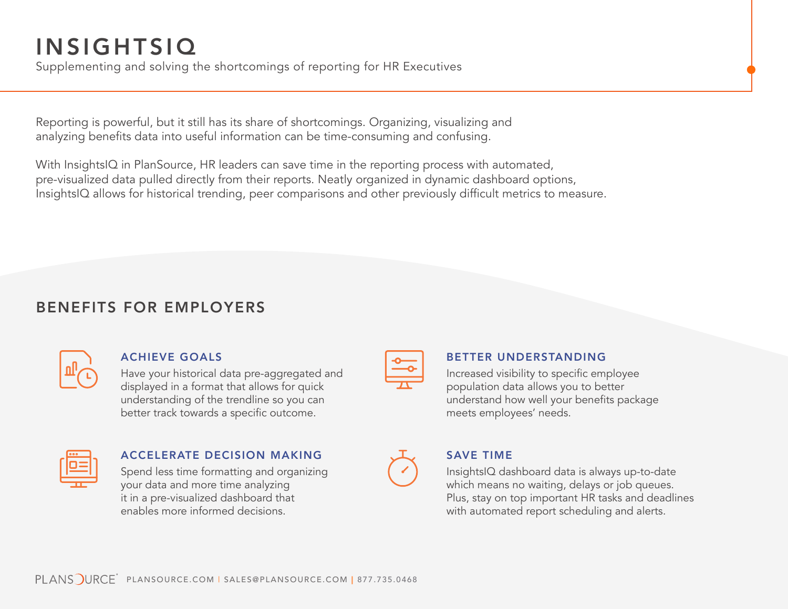# INSIGHTSIQ

Supplementing and solving the shortcomings of reporting for HR Executives

Reporting is powerful, but it still has its share of shortcomings. Organizing, visualizing and analyzing benefits data into useful information can be time-consuming and confusing.

With InsightsIQ in PlanSource, HR leaders can save time in the reporting process with automated, pre-visualized data pulled directly from their reports. Neatly organized in dynamic dashboard options, InsightsIQ allows for historical trending, peer comparisons and other previously difficult metrics to measure.

# BENEFITS FOR EMPLOYERS

|--|

### ACHIEVE GOALS

Have your historical data pre-aggregated and displayed in a format that allows for quick understanding of the trendline so you can better track towards a specific outcome.

| ٥a<br>n           |  |
|-------------------|--|
|                   |  |
| <b>CONTRACTOR</b> |  |
|                   |  |
|                   |  |

## ACCELERATE DECISION MAKING

Spend less time formatting and organizing your data and more time analyzing it in a pre-visualized dashboard that enables more informed decisions.

### BETTER UNDERSTANDING

Increased visibility to specific employee population data allows you to better understand how well your benefits package meets employees' needs.



### SAVE TIME

InsightsIQ dashboard data is always up-to-date which means no waiting, delays or job queues. Plus, stay on top important HR tasks and deadlines with automated report scheduling and alerts.